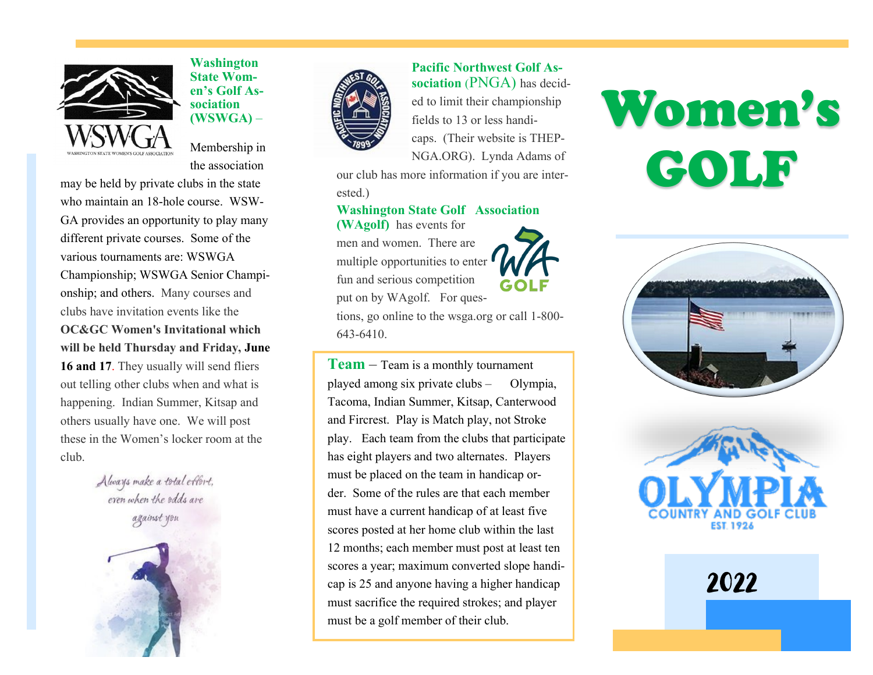

**Washington State Women's Golf Association (WSWGA)** –

Membership in the association

may be held by private clubs in the state who maintain an 18-hole course. WSW-GA provides an opportunity to play many different private courses. Some of the various tournaments are: WSWGA Championship; WSWGA Senior Championship; and others. Many courses and clubs have invitation events like the **OC&GC Women's Invitational which will be held Thursday and Friday, June**  16 and 17. They usually will send fliers out telling other clubs when and what is happening. Indian Summer, Kitsap and others usually have one. We will post these in the Women's locker room at the club.

> Always make a total effort, even when the odds are







**Pacific Northwest Golf Association** (PNGA) has decided to limit their championship fields to 13 or less handicaps. (Their website is THEP-NGA.ORG). Lynda Adams of

our club has more information if you are interested.)

#### **Washington State Golf Association**

**(WAgolf)** has events for men and women. There are multiple opportunities to enter fun and serious competition put on by WAgolf. For questions, go online to the wsga.org or call 1-800- 643-6410.

**Team** – Team is a monthly tournament played among six private clubs – Olympia, Tacoma, Indian Summer, Kitsap, Canterwood and Fircrest. Play is Match play, not Stroke play. Each team from the clubs that participate has eight players and two alternates. Players must be placed on the team in handicap order. Some of the rules are that each member must have a current handicap of at least five scores posted at her home club within the last 12 months; each member must post at least ten scores a year; maximum converted slope handicap is 25 and anyone having a higher handicap must sacrifice the required strokes; and player must be a golf member of their club.







2022